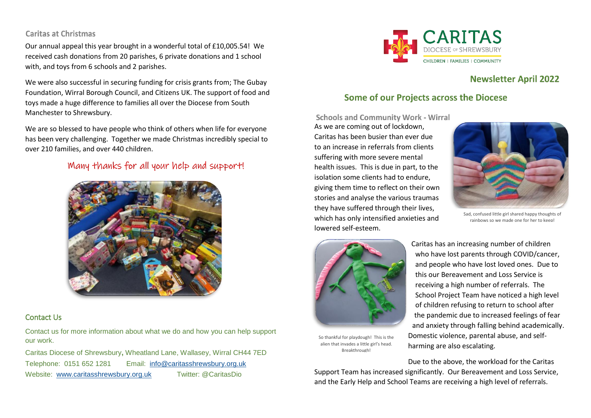#### **Caritas at Christmas**

Our annual appeal this year brought in a wonderful total of £10,005.54! We received cash donations from 20 parishes, 6 private donations and 1 school with, and toys from 6 schools and 2 parishes.

We were also successful in securing funding for crisis grants from; The Gubay Foundation, Wirral Borough Council, and Citizens UK. The support of food and toys made a huge difference to families all over the Diocese from South Manchester to Shrewsbury.

We are so blessed to have people who think of others when life for everyone has been very challenging. Together we made Christmas incredibly special to over 210 families, and over 440 children.

## Many thanks for all your help and support!



#### Contact Us

Contact us for more information about what we do and how you can help support our work.

Caritas Diocese of Shrewsbury**,** Wheatland Lane, Wallasey, Wirral CH44 7ED Telephone: 0151 652 1281 Email: [info@caritasshrewsbury.org.uk](mailto:info@caritasshrewsbury.org.uk) Website: [www.caritasshrewsbury.org.uk](http://www.caritasshrewsbury.org.uk/) Twitter: @CaritasDio



# **Newsletter April 2022**

## **Some of our Projects across the Diocese**

**Schools and Community Work - Wirral** As we are coming out of lockdown, Caritas has been busier than ever due to an increase in referrals from clients suffering with more severe mental health issues. This is due in part, to the isolation some clients had to endure, giving them time to reflect on their own stories and analyse the various traumas they have suffered through their lives, which has only intensified anxieties and lowered self-esteem.



Sad, confused little girl shared happy thoughts of rainbows so we made one for her to keep!



Caritas has an increasing number of children who have lost parents through COVID/cancer, and people who have lost loved ones. Due to this our Bereavement and Loss Service is receiving a high number of referrals. The School Project Team have noticed a high level of children refusing to return to school after the pandemic due to increased feelings of fear and anxiety through falling behind academically. Domestic violence, parental abuse, and selfharming are also escalating.

So thankful for playdough! This is the alien that invades a little girl's head. Breakthrough!

Due to the above, the workload for the Caritas Support Team has increased significantly. Our Bereavement and Loss Service, and the Early Help and School Teams are receiving a high level of referrals.